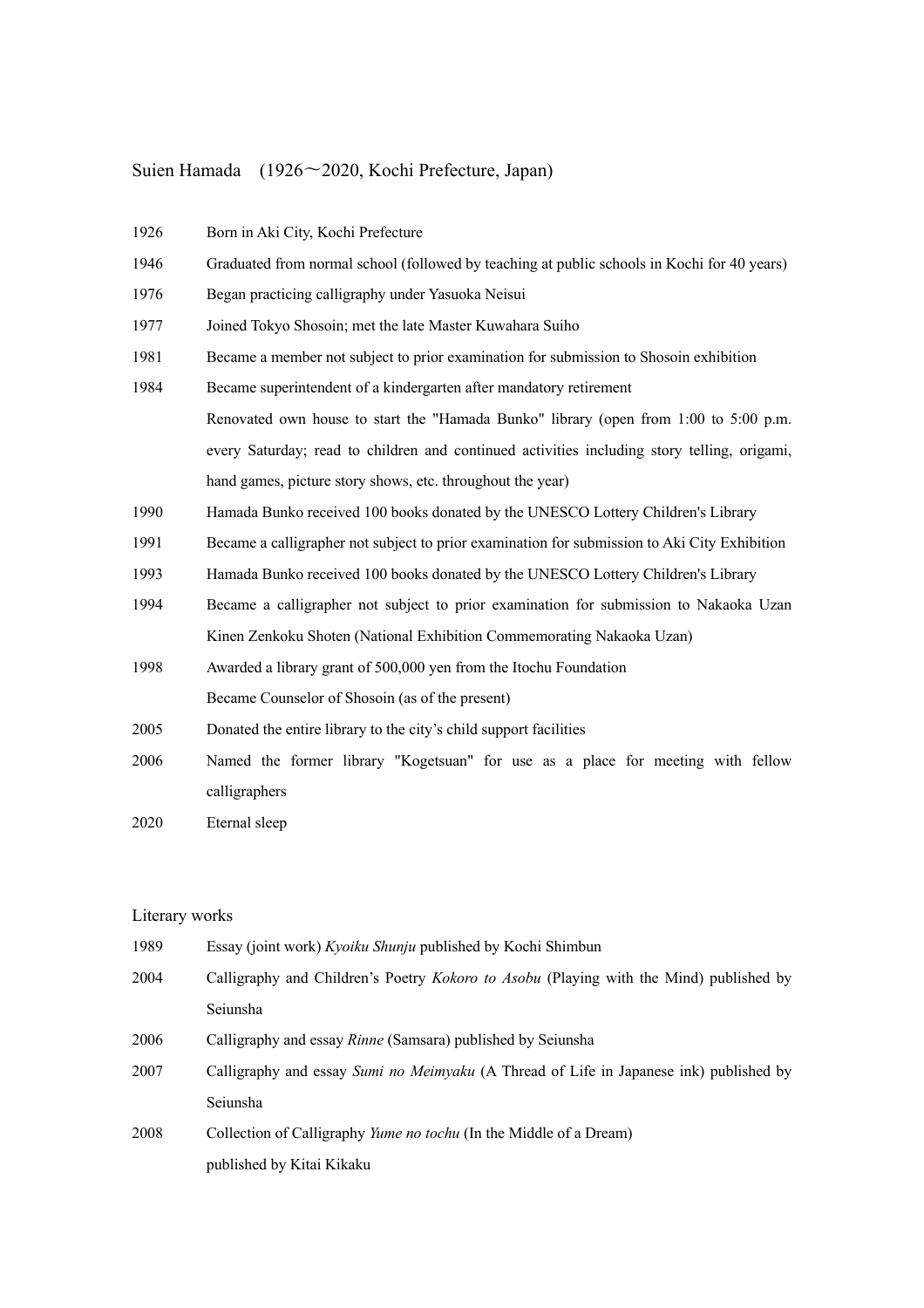## Suien Hamada (1926〜2020, Kochi Prefecture, Japan)

| 1926 | Born in Aki City, Kochi Prefecture                                                           |
|------|----------------------------------------------------------------------------------------------|
| 1946 | Graduated from normal school (followed by teaching at public schools in Kochi for 40 years)  |
| 1976 | Began practicing calligraphy under Yasuoka Neisui                                            |
| 1977 | Joined Tokyo Shosoin; met the late Master Kuwahara Suiho                                     |
| 1981 | Became a member not subject to prior examination for submission to Shosoin exhibition        |
| 1984 | Became superintendent of a kindergarten after mandatory retirement                           |
|      | Renovated own house to start the "Hamada Bunko" library (open from 1:00 to 5:00 p.m.         |
|      | every Saturday; read to children and continued activities including story telling, origami,  |
|      | hand games, picture story shows, etc. throughout the year)                                   |
| 1990 | Hamada Bunko received 100 books donated by the UNESCO Lottery Children's Library             |
| 1991 | Became a calligrapher not subject to prior examination for submission to Aki City Exhibition |
| 1993 | Hamada Bunko received 100 books donated by the UNESCO Lottery Children's Library             |
| 1994 | Became a calligrapher not subject to prior examination for submission to Nakaoka Uzan        |
|      | Kinen Zenkoku Shoten (National Exhibition Commemorating Nakaoka Uzan)                        |
| 1998 | Awarded a library grant of 500,000 yen from the Itochu Foundation                            |
|      | Became Counselor of Shosoin (as of the present)                                              |
| 2005 | Donated the entire library to the city's child support facilities                            |
| 2006 | Named the former library "Kogetsuan" for use as a place for meeting with fellow              |
|      | calligraphers                                                                                |
| 2020 | Eternal sleep                                                                                |

## Literary works

| 1989 | Essay (joint work) Kyoiku Shunju published by Kochi Shimbun                            |
|------|----------------------------------------------------------------------------------------|
| 2004 | Calligraphy and Children's Poetry Kokoro to Asobu (Playing with the Mind) published by |
|      | Seiunsha                                                                               |
| 2006 | Calligraphy and essay <i>Rinne</i> (Samsara) published by Seiunsha                     |
| 2007 | Calligraphy and essay Sumi no Meimyaku (A Thread of Life in Japanese ink) published by |
|      | Seiunsha                                                                               |
| 2008 | Collection of Calligraphy Yume no tochu (In the Middle of a Dream)                     |
|      | published by Kitai Kikaku                                                              |